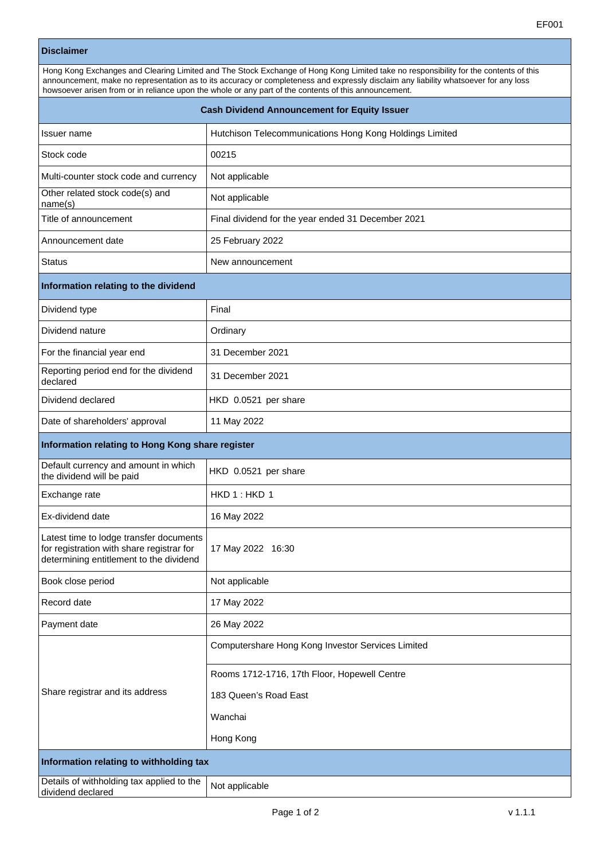|                                                                   | EF001                                                                                                                                                                                                                                                                                                                                                                                 |
|-------------------------------------------------------------------|---------------------------------------------------------------------------------------------------------------------------------------------------------------------------------------------------------------------------------------------------------------------------------------------------------------------------------------------------------------------------------------|
| <b>Disclaimer</b>                                                 |                                                                                                                                                                                                                                                                                                                                                                                       |
|                                                                   | Hong Kong Exchanges and Clearing Limited and The Stock Exchange of Hong Kong Limited take no responsibility for the contents of this<br>announcement, make no representation as to its accuracy or completeness and expressly disclaim any liability whatsoever for any loss<br>howsoever arisen from or in reliance upon the whole or any part of the contents of this announcement. |
| <b>Cash Dividend Announcement for Equity Issuer</b>               |                                                                                                                                                                                                                                                                                                                                                                                       |
| Issuer name                                                       | Hutchison Telecommunications Hong Kong Holdings Limited                                                                                                                                                                                                                                                                                                                               |
| Stock code                                                        | 00215                                                                                                                                                                                                                                                                                                                                                                                 |
| Multi-counter stock code and currency                             | Not applicable                                                                                                                                                                                                                                                                                                                                                                        |
| Other related stock code(s) and<br>name(s)                        | Not applicable                                                                                                                                                                                                                                                                                                                                                                        |
| Title of announcement                                             | Final dividend for the year ended 31 December 2021                                                                                                                                                                                                                                                                                                                                    |
| Announcement date                                                 | 25 February 2022                                                                                                                                                                                                                                                                                                                                                                      |
| <b>Status</b>                                                     | New announcement                                                                                                                                                                                                                                                                                                                                                                      |
| Information relating to the dividend                              |                                                                                                                                                                                                                                                                                                                                                                                       |
| Dividend type                                                     | Final                                                                                                                                                                                                                                                                                                                                                                                 |
| Dividend nature                                                   | Ordinary                                                                                                                                                                                                                                                                                                                                                                              |
| For the financial year end                                        | 31 December 2021                                                                                                                                                                                                                                                                                                                                                                      |
| Reporting period end for the dividend<br>declared                 | 31 December 2021                                                                                                                                                                                                                                                                                                                                                                      |
| Dividend declared                                                 | HKD 0.0521 per share                                                                                                                                                                                                                                                                                                                                                                  |
| Date of shareholders' approval                                    | 11 May 2022                                                                                                                                                                                                                                                                                                                                                                           |
| Information relating to Hong Kong share register                  |                                                                                                                                                                                                                                                                                                                                                                                       |
| Default currency and amount in which<br>the dividend will be paid | HKD 0.0521 per share                                                                                                                                                                                                                                                                                                                                                                  |
| Exchange rate                                                     | HKD1:HKD1                                                                                                                                                                                                                                                                                                                                                                             |
| Ex-dividend date                                                  | 16 May 2022                                                                                                                                                                                                                                                                                                                                                                           |

| Book close period                                              | Not applicable                                    |
|----------------------------------------------------------------|---------------------------------------------------|
| Record date                                                    | 17 May 2022                                       |
| Payment date                                                   | 26 May 2022                                       |
| Share registrar and its address                                | Computershare Hong Kong Investor Services Limited |
|                                                                | Rooms 1712-1716, 17th Floor, Hopewell Centre      |
|                                                                | 183 Queen's Road East                             |
|                                                                | Wanchai                                           |
|                                                                | Hong Kong                                         |
| Information relating to withholding tax                        |                                                   |
| Details of withholding tax applied to the<br>dividend declared | Not applicable                                    |

17 May 2022 16:30

Latest time to lodge transfer documents for registration with share registrar for determining entitlement to the dividend